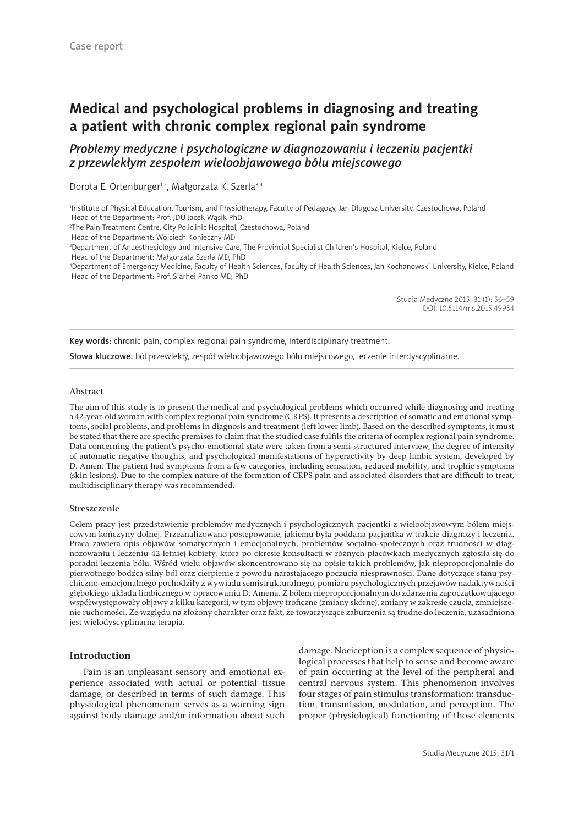# **Medical and psychological problems in diagnosing and treating a patient with chronic complex regional pain syndrome**

## *Problemy medyczne i psychologiczne w diagnozowaniu i leczeniu pacjentki z przewlekłym zespołem wieloobjawowego bólu miejscowego*

Dorota E. Ortenburger<sup>1,2</sup>, Małgorzata K. Szerla<sup>3,4</sup>

1 Institute of Physical Education, Tourism, and Physiotherapy, Faculty of Pedagogy, Jan Długosz University, Czestochowa, Poland Head of the Department: Prof. JDU Jacek Wąsik PhD

2 The Pain Treatment Centre, City Policlinic Hospital, Czestochowa, Poland

Head of the Department: Wojciech Konieczny MD

3 Department of Anaesthesiology and Intensive Care, The Provincial Specialist Children's Hospital, Kielce, Poland

Head of the Department: Małgorzata Szerla MD, PhD

4 Department of Emergency Medicine, Faculty of Health Sciences, Faculty of Health Sciences, Jan Kochanowski University, Kielce, Poland Head of the Department: Prof. Siarhei Panko MD, PhD

> Studia Medyczne 2015; 31 (1): 56–59 DOI: 10.5114/ms.2015.49954

Key words: chronic pain, complex regional pain syndrome, interdisciplinary treatment.

Słowa kluczowe: ból przewlekły, zespół wieloobjawowego bólu miejscowego, leczenie interdyscyplinarne.

#### Abstract

The aim of this study is to present the medical and psychological problems which occurred while diagnosing and treating a 42-year-old woman with complex regional pain syndrome (CRPS). It presents a description of somatic and emotional symptoms, social problems, and problems in diagnosis and treatment (left lower limb). Based on the described symptoms, it must be stated that there are specific premises to claim that the studied case fulfils the criteria of complex regional pain syndrome. Data concerning the patient's psycho-emotional state were taken from a semi-structured interview, the degree of intensity of automatic negative thoughts, and psychological manifestations of hyperactivity by deep limbic system, developed by D. Amen. The patient had symptoms from a few categories, including sensation, reduced mobility, and trophic symptoms (skin lesions). Due to the complex nature of the formation of CRPS pain and associated disorders that are difficult to treat, multidisciplinary therapy was recommended.

#### Streszczenie

Celem pracy jest przedstawienie problemów medycznych i psychologicznych pacjentki z wieloobjawowym bólem miejscowym kończyny dolnej. Przeanalizowano postępowanie, jakiemu była poddana pacjentka w trakcie diagnozy i leczenia. Praca zawiera opis objawów somatycznych i emocjonalnych, problemów socjalno-społecznych oraz trudności w diagnozowaniu i leczeniu 42-letniej kobiety, która po okresie konsultacji w różnych placówkach medycznych zgłosiła się do poradni leczenia bólu. Wśród wielu objawów skoncentrowano się na opisie takich problemów, jak nieproporcjonalnie do pierwotnego bodźca silny ból oraz cierpienie z powodu narastającego poczucia niesprawności. Dane dotyczące stanu psychiczno-emocjonalnego pochodziły z wywiadu semistrukturalnego, pomiaru psychologicznych przejawów nadaktywności głębokiego układu limbicznego w opracowaniu D. Amena. Z bólem nieproporcjonalnym do zdarzenia zapoczątkowującego współwystępowały objawy z kilku kategorii, w tym objawy troficzne (zmiany skórne), zmiany w zakresie czucia, zmniejszenie ruchomości. Ze względu na złożony charakter oraz fakt, że towarzyszące zaburzenia są trudne do leczenia, uzasadniona jest wielodyscyplinarna terapia.

#### **Introduction**

Pain is an unpleasant sensory and emotional experience associated with actual or potential tissue damage, or described in terms of such damage. This physiological phenomenon serves as a warning sign against body damage and/or information about such

damage. Nociception is a complex sequence of physiological processes that help to sense and become aware of pain occurring at the level of the peripheral and central nervous system. This phenomenon involves four stages of pain stimulus transformation: transduction, transmission, modulation, and perception. The proper (physiological) functioning of those elements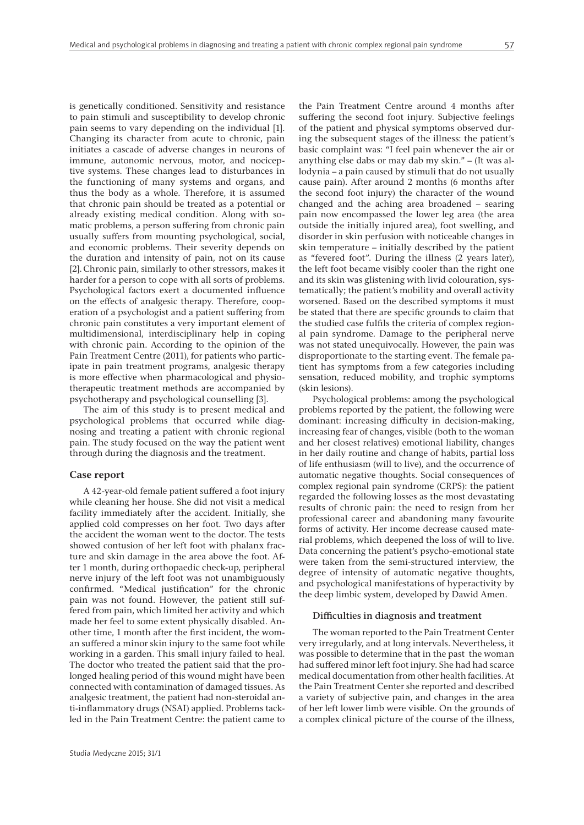is genetically conditioned. Sensitivity and resistance to pain stimuli and susceptibility to develop chronic pain seems to vary depending on the individual [1]. Changing its character from acute to chronic, pain initiates a cascade of adverse changes in neurons of immune, autonomic nervous, motor, and nociceptive systems. These changes lead to disturbances in the functioning of many systems and organs, and thus the body as a whole. Therefore, it is assumed that chronic pain should be treated as a potential or already existing medical condition. Along with somatic problems, a person suffering from chronic pain usually suffers from mounting psychological, social, and economic problems. Their severity depends on the duration and intensity of pain, not on its cause [2].Chronic pain, similarly to other stressors, makes it harder for a person to cope with all sorts of problems. Psychological factors exert a documented influence on the effects of analgesic therapy. Therefore, cooperation of a psychologist and a patient suffering from chronic pain constitutes a very important element of multidimensional, interdisciplinary help in coping with chronic pain. According to the opinion of the Pain Treatment Centre (2011), for patients who participate in pain treatment programs, analgesic therapy is more effective when pharmacological and physiotherapeutic treatment methods are accompanied by psychotherapy and psychological counselling [3].

The aim of this study is to present medical and psychological problems that occurred while diagnosing and treating a patient with chronic regional pain. The study focused on the way the patient went through during the diagnosis and the treatment.

#### **Case report**

A 42-year-old female patient suffered a foot injury while cleaning her house. She did not visit a medical facility immediately after the accident. Initially, she applied cold compresses on her foot. Two days after the accident the woman went to the doctor. The tests showed contusion of her left foot with phalanx fracture and skin damage in the area above the foot. After 1 month, during orthopaedic check-up, peripheral nerve injury of the left foot was not unambiguously confirmed. "Medical justification" for the chronic pain was not found. However, the patient still suffered from pain, which limited her activity and which made her feel to some extent physically disabled. Another time, 1 month after the first incident, the woman suffered a minor skin injury to the same foot while working in a garden. This small injury failed to heal. The doctor who treated the patient said that the prolonged healing period of this wound might have been connected with contamination of damaged tissues. As analgesic treatment, the patient had non-steroidal anti-inflammatory drugs (NSAI) applied. Problems tackled in the Pain Treatment Centre: the patient came to

the Pain Treatment Centre around 4 months after suffering the second foot injury. Subjective feelings of the patient and physical symptoms observed during the subsequent stages of the illness: the patient's basic complaint was: "I feel pain whenever the air or anything else dabs or may dab my skin." – (It was allodynia – a pain caused by stimuli that do not usually cause pain). After around 2 months (6 months after the second foot injury) the character of the wound changed and the aching area broadened – searing pain now encompassed the lower leg area (the area outside the initially injured area), foot swelling, and disorder in skin perfusion with noticeable changes in skin temperature – initially described by the patient as "fevered foot". During the illness (2 years later), the left foot became visibly cooler than the right one and its skin was glistening with livid colouration, systematically; the patient's mobility and overall activity worsened. Based on the described symptoms it must be stated that there are specific grounds to claim that the studied case fulfils the criteria of complex regional pain syndrome. Damage to the peripheral nerve was not stated unequivocally. However, the pain was disproportionate to the starting event. The female patient has symptoms from a few categories including sensation, reduced mobility, and trophic symptoms (skin lesions).

Psychological problems: among the psychological problems reported by the patient, the following were dominant: increasing difficulty in decision-making, increasing fear of changes, visible (both to the woman and her closest relatives) emotional liability, changes in her daily routine and change of habits, partial loss of life enthusiasm (will to live), and the occurrence of automatic negative thoughts. Social consequences of complex regional pain syndrome (CRPS): the patient regarded the following losses as the most devastating results of chronic pain: the need to resign from her professional career and abandoning many favourite forms of activity. Her income decrease caused material problems, which deepened the loss of will to live. Data concerning the patient's psycho-emotional state were taken from the semi-structured interview, the degree of intensity of automatic negative thoughts, and psychological manifestations of hyperactivity by the deep limbic system, developed by Dawid Amen.

#### Difficulties in diagnosis and treatment

The woman reported to the Pain Treatment Center very irregularly, and at long intervals. Nevertheless, it was possible to determine that in the past the woman had suffered minor left foot injury. She had had scarce medical documentation from other health facilities. At the Pain Treatment Center she reported and described a variety of subjective pain, and changes in the area of her left lower limb were visible. On the grounds of a complex clinical picture of the course of the illness,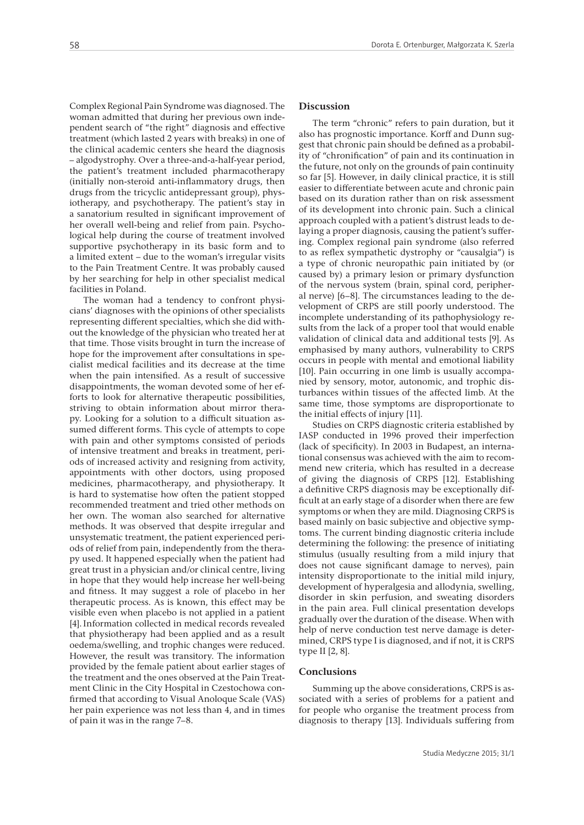Complex Regional Pain Syndrome was diagnosed. The woman admitted that during her previous own independent search of "the right" diagnosis and effective treatment (which lasted 2 years with breaks) in one of the clinical academic centers she heard the diagnosis – algodystrophy. Over a three-and-a-half-year period, the patient's treatment included pharmacotherapy (initially non-steroid anti-inflammatory drugs, then drugs from the tricyclic antidepressant group), physiotherapy, and psychotherapy. The patient's stay in a sanatorium resulted in significant improvement of her overall well-being and relief from pain. Psychological help during the course of treatment involved supportive psychotherapy in its basic form and to a limited extent – due to the woman's irregular visits to the Pain Treatment Centre. It was probably caused by her searching for help in other specialist medical facilities in Poland.

The woman had a tendency to confront physicians' diagnoses with the opinions of other specialists representing different specialties, which she did without the knowledge of the physician who treated her at that time. Those visits brought in turn the increase of hope for the improvement after consultations in specialist medical facilities and its decrease at the time when the pain intensified. As a result of successive disappointments, the woman devoted some of her efforts to look for alternative therapeutic possibilities, striving to obtain information about mirror therapy. Looking for a solution to a difficult situation assumed different forms. This cycle of attempts to cope with pain and other symptoms consisted of periods of intensive treatment and breaks in treatment, periods of increased activity and resigning from activity, appointments with other doctors, using proposed medicines, pharmacotherapy, and physiotherapy. It is hard to systematise how often the patient stopped recommended treatment and tried other methods on her own. The woman also searched for alternative methods. It was observed that despite irregular and unsystematic treatment, the patient experienced periods of relief from pain, independently from the therapy used. It happened especially when the patient had great trust in a physician and/or clinical centre, living in hope that they would help increase her well-being and fitness. It may suggest a role of placebo in her therapeutic process. As is known, this effect may be visible even when placebo is not applied in a patient [4].Information collected in medical records revealed that physiotherapy had been applied and as a result oedema/swelling, and trophic changes were reduced. However, the result was transitory. The information provided by the female patient about earlier stages of the treatment and the ones observed at the Pain Treatment Clinic in the City Hospital in Czestochowa confirmed that according to Visual Anoloque Scale (VAS) her pain experience was not less than 4, and in times of pain it was in the range 7–8.

#### **Discussion**

The term "chronic" refers to pain duration, but it also has prognostic importance. Korff and Dunn suggest that chronic pain should be defined as a probability of "chronification" of pain and its continuation in the future, not only on the grounds of pain continuity so far [5]. However, in daily clinical practice, it is still easier to differentiate between acute and chronic pain based on its duration rather than on risk assessment of its development into chronic pain. Such a clinical approach coupled with a patient's distrust leads to delaying a proper diagnosis, causing the patient's suffering. Complex regional pain syndrome (also referred to as reflex sympathetic dystrophy or "causalgia") is a type of chronic neuropathic pain initiated by (or caused by) a primary lesion or primary dysfunction of the nervous system (brain, spinal cord, peripheral nerve) [6–8]. The circumstances leading to the development of CRPS are still poorly understood. The incomplete understanding of its pathophysiology results from the lack of a proper tool that would enable validation of clinical data and additional tests [9]. As emphasised by many authors, vulnerability to CRPS occurs in people with mental and emotional liability [10]. Pain occurring in one limb is usually accompanied by sensory, motor, autonomic, and trophic disturbances within tissues of the affected limb. At the same time, those symptoms are disproportionate to the initial effects of injury [11].

Studies on CRPS diagnostic criteria established by IASP conducted in 1996 proved their imperfection (lack of specificity). In 2003 in Budapest, an international consensus was achieved with the aim to recommend new criteria, which has resulted in a decrease of giving the diagnosis of CRPS [12]. Establishing a definitive CRPS diagnosis may be exceptionally difficult at an early stage of a disorder when there are few symptoms or when they are mild. Diagnosing CRPS is based mainly on basic subjective and objective symptoms. The current binding diagnostic criteria include determining the following: the presence of initiating stimulus (usually resulting from a mild injury that does not cause significant damage to nerves), pain intensity disproportionate to the initial mild injury, development of hyperalgesia and allodynia, swelling, disorder in skin perfusion, and sweating disorders in the pain area. Full clinical presentation develops gradually over the duration of the disease. When with help of nerve conduction test nerve damage is determined, CRPS type I is diagnosed, and if not, it is CRPS type II [2, 8].

### **Conclusions**

Summing up the above considerations, CRPS is associated with a series of problems for a patient and for people who organise the treatment process from diagnosis to therapy [13]. Individuals suffering from